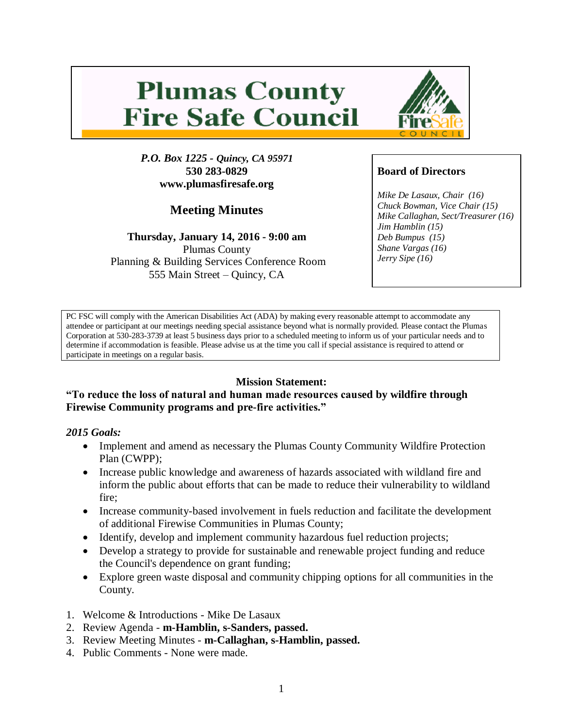# **Plumas County Fire Safe Council**



# **Meeting Minutes**

**Thursday, January 14, 2016 - 9:00 am** Plumas County Planning & Building Services Conference Room 555 Main Street – Quincy, CA



# **Board of Directors**

*Mike De Lasaux, Chair (16) Chuck Bowman, Vice Chair (15) Mike Callaghan, Sect/Treasurer (16) Jim Hamblin (15) Deb Bumpus (15) Shane Vargas (16) Jerry Sipe (16)* 

PC FSC will comply with the American Disabilities Act (ADA) by making every reasonable attempt to accommodate any attendee or participant at our meetings needing special assistance beyond what is normally provided. Please contact the Plumas Corporation at 530-283-3739 at least 5 business days prior to a scheduled meeting to inform us of your particular needs and to determine if accommodation is feasible. Please advise us at the time you call if special assistance is required to attend or participate in meetings on a regular basis.

## **Mission Statement:**

#### **"To reduce the loss of natural and human made resources caused by wildfire through Firewise Community programs and pre-fire activities."**

#### *2015 Goals:*

- Implement and amend as necessary the Plumas County Community Wildfire Protection Plan (CWPP);
- Increase public knowledge and awareness of hazards associated with wildland fire and inform the public about efforts that can be made to reduce their vulnerability to wildland fire;
- Increase community-based involvement in fuels reduction and facilitate the development of additional Firewise Communities in Plumas County;
- Identify, develop and implement community hazardous fuel reduction projects;
- Develop a strategy to provide for sustainable and renewable project funding and reduce the Council's dependence on grant funding;
- Explore green waste disposal and community chipping options for all communities in the County.
- 1. Welcome & Introductions Mike De Lasaux
- 2. Review Agenda **m-Hamblin, s-Sanders, passed.**
- 3. Review Meeting Minutes **m-Callaghan, s-Hamblin, passed.**
- 4. Public Comments None were made.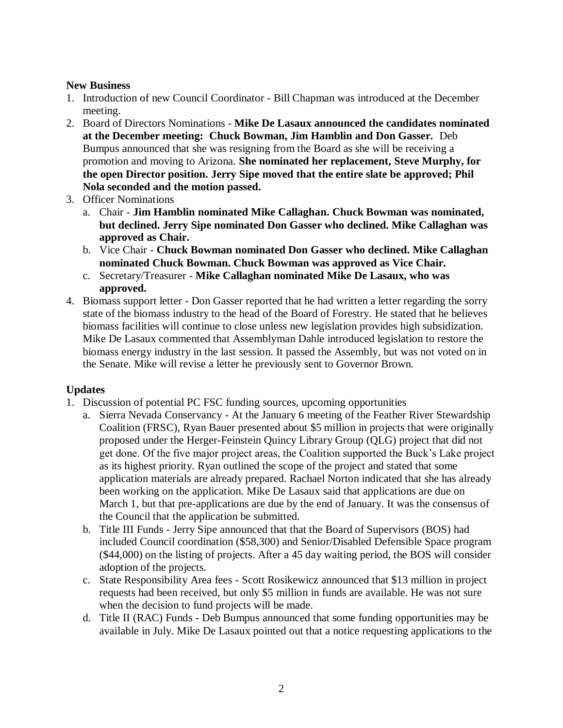#### **New Business**

- 1. Introduction of new Council Coordinator Bill Chapman was introduced at the December meeting.
- 2. Board of Directors Nominations **Mike De Lasaux announced the candidates nominated at the December meeting: Chuck Bowman, Jim Hamblin and Don Gasser.** Deb Bumpus announced that she was resigning from the Board as she will be receiving a promotion and moving to Arizona. **She nominated her replacement, Steve Murphy, for the open Director position. Jerry Sipe moved that the entire slate be approved; Phil Nola seconded and the motion passed.**
- 3. Officer Nominations
	- a. Chair **Jim Hamblin nominated Mike Callaghan. Chuck Bowman was nominated, but declined. Jerry Sipe nominated Don Gasser who declined. Mike Callaghan was approved as Chair.**
	- b. Vice Chair **Chuck Bowman nominated Don Gasser who declined. Mike Callaghan nominated Chuck Bowman. Chuck Bowman was approved as Vice Chair.**
	- c. Secretary/Treasurer **Mike Callaghan nominated Mike De Lasaux, who was approved.**
- 4. Biomass support letter Don Gasser reported that he had written a letter regarding the sorry state of the biomass industry to the head of the Board of Forestry. He stated that he believes biomass facilities will continue to close unless new legislation provides high subsidization. Mike De Lasaux commented that Assemblyman Dahle introduced legislation to restore the biomass energy industry in the last session. It passed the Assembly, but was not voted on in the Senate. Mike will revise a letter he previously sent to Governor Brown.

## **Updates**

- 1. Discussion of potential PC FSC funding sources, upcoming opportunities
	- a. Sierra Nevada Conservancy At the January 6 meeting of the Feather River Stewardship Coalition (FRSC), Ryan Bauer presented about \$5 million in projects that were originally proposed under the Herger-Feinstein Quincy Library Group (QLG) project that did not get done. Of the five major project areas, the Coalition supported the Buck's Lake project as its highest priority. Ryan outlined the scope of the project and stated that some application materials are already prepared. Rachael Norton indicated that she has already been working on the application. Mike De Lasaux said that applications are due on March 1, but that pre-applications are due by the end of January. It was the consensus of the Council that the application be submitted.
	- b. Title III Funds Jerry Sipe announced that that the Board of Supervisors (BOS) had included Council coordination (\$58,300) and Senior/Disabled Defensible Space program (\$44,000) on the listing of projects. After a 45 day waiting period, the BOS will consider adoption of the projects.
	- c. State Responsibility Area fees Scott Rosikewicz announced that \$13 million in project requests had been received, but only \$5 million in funds are available. He was not sure when the decision to fund projects will be made.
	- d. Title II (RAC) Funds Deb Bumpus announced that some funding opportunities may be available in July. Mike De Lasaux pointed out that a notice requesting applications to the